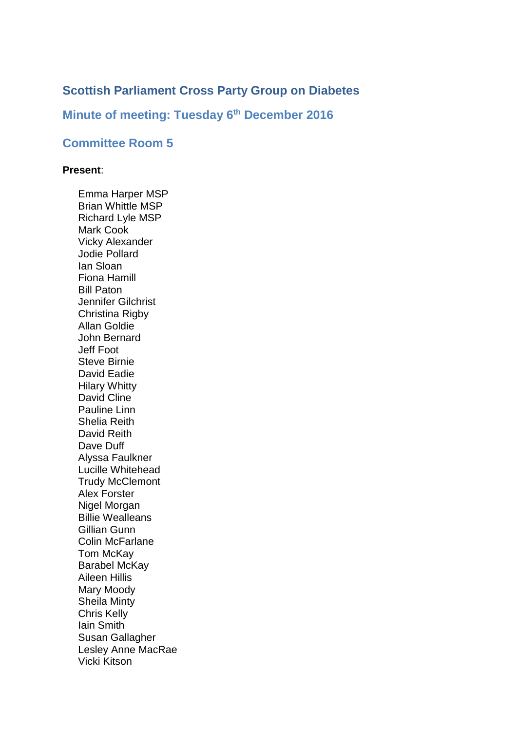# **Scottish Parliament Cross Party Group on Diabetes**

## **Minute of meeting: Tuesday 6 th December 2016**

## **Committee Room 5**

#### **Present**:

Emma Harper MSP Brian Whittle MSP Richard Lyle MSP Mark Cook Vicky Alexander Jodie Pollard Ian Sloan Fiona Hamill Bill Paton Jennifer Gilchrist Christina Rigby Allan Goldie John Bernard Jeff Foot Steve Birnie David Eadie Hilary Whitty David Cline Pauline Linn Shelia Reith David Reith Dave Duff Alyssa Faulkner Lucille Whitehead Trudy McClemont Alex Forster Nigel Morgan Billie Wealleans Gillian Gunn Colin McFarlane Tom McKay Barabel McKay Aileen Hillis Mary Moody Sheila Minty Chris Kelly Iain Smith Susan Gallagher Lesley Anne MacRae Vicki Kitson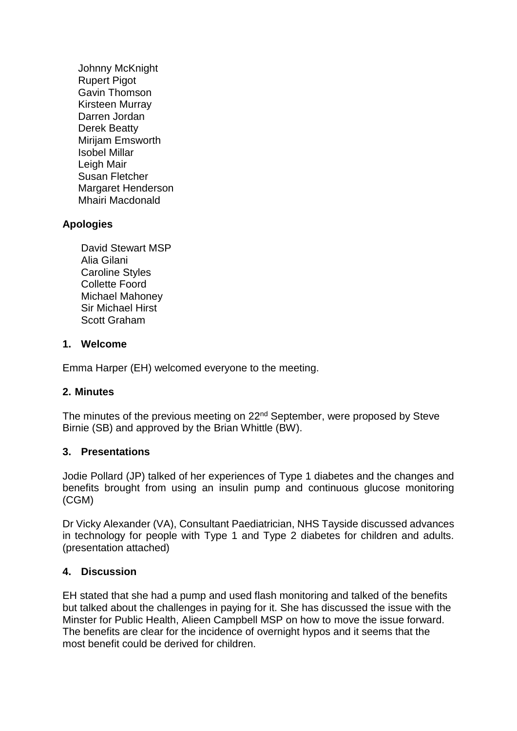Johnny McKnight Rupert Pigot Gavin Thomson Kirsteen Murray Darren Jordan Derek Beatty Mirijam Emsworth Isobel Millar Leigh Mair Susan Fletcher Margaret Henderson Mhairi Macdonald

## **Apologies**

David Stewart MSP Alia Gilani Caroline Styles Collette Foord Michael Mahoney Sir Michael Hirst Scott Graham

### **1. Welcome**

Emma Harper (EH) welcomed everyone to the meeting.

## **2. Minutes**

The minutes of the previous meeting on 22<sup>nd</sup> September, were proposed by Steve Birnie (SB) and approved by the Brian Whittle (BW).

#### **3. Presentations**

Jodie Pollard (JP) talked of her experiences of Type 1 diabetes and the changes and benefits brought from using an insulin pump and continuous glucose monitoring (CGM)

Dr Vicky Alexander (VA), Consultant Paediatrician, NHS Tayside discussed advances in technology for people with Type 1 and Type 2 diabetes for children and adults. (presentation attached)

#### **4. Discussion**

EH stated that she had a pump and used flash monitoring and talked of the benefits but talked about the challenges in paying for it. She has discussed the issue with the Minster for Public Health, Alieen Campbell MSP on how to move the issue forward. The benefits are clear for the incidence of overnight hypos and it seems that the most benefit could be derived for children.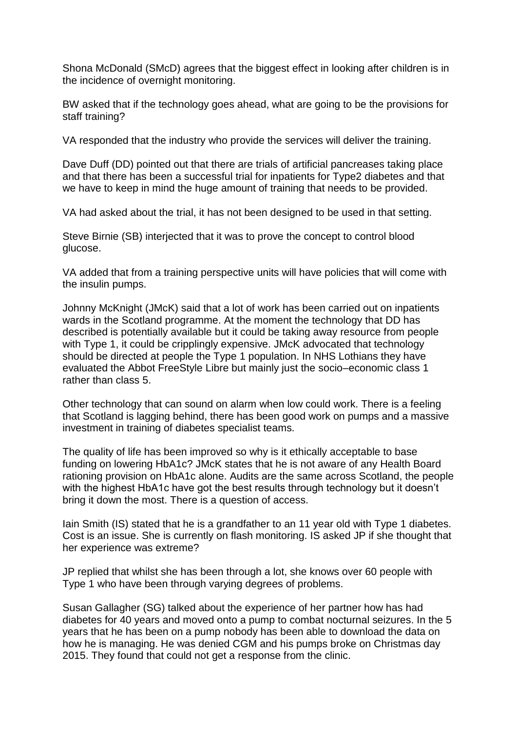Shona McDonald (SMcD) agrees that the biggest effect in looking after children is in the incidence of overnight monitoring.

BW asked that if the technology goes ahead, what are going to be the provisions for staff training?

VA responded that the industry who provide the services will deliver the training.

Dave Duff (DD) pointed out that there are trials of artificial pancreases taking place and that there has been a successful trial for inpatients for Type2 diabetes and that we have to keep in mind the huge amount of training that needs to be provided.

VA had asked about the trial, it has not been designed to be used in that setting.

Steve Birnie (SB) interjected that it was to prove the concept to control blood glucose.

VA added that from a training perspective units will have policies that will come with the insulin pumps.

Johnny McKnight (JMcK) said that a lot of work has been carried out on inpatients wards in the Scotland programme. At the moment the technology that DD has described is potentially available but it could be taking away resource from people with Type 1, it could be cripplingly expensive. JMcK advocated that technology should be directed at people the Type 1 population. In NHS Lothians they have evaluated the Abbot FreeStyle Libre but mainly just the socio–economic class 1 rather than class 5.

Other technology that can sound on alarm when low could work. There is a feeling that Scotland is lagging behind, there has been good work on pumps and a massive investment in training of diabetes specialist teams.

The quality of life has been improved so why is it ethically acceptable to base funding on lowering HbA1c? JMcK states that he is not aware of any Health Board rationing provision on HbA1c alone. Audits are the same across Scotland, the people with the highest HbA1c have got the best results through technology but it doesn't bring it down the most. There is a question of access.

Iain Smith (IS) stated that he is a grandfather to an 11 year old with Type 1 diabetes. Cost is an issue. She is currently on flash monitoring. IS asked JP if she thought that her experience was extreme?

JP replied that whilst she has been through a lot, she knows over 60 people with Type 1 who have been through varying degrees of problems.

Susan Gallagher (SG) talked about the experience of her partner how has had diabetes for 40 years and moved onto a pump to combat nocturnal seizures. In the 5 years that he has been on a pump nobody has been able to download the data on how he is managing. He was denied CGM and his pumps broke on Christmas day 2015. They found that could not get a response from the clinic.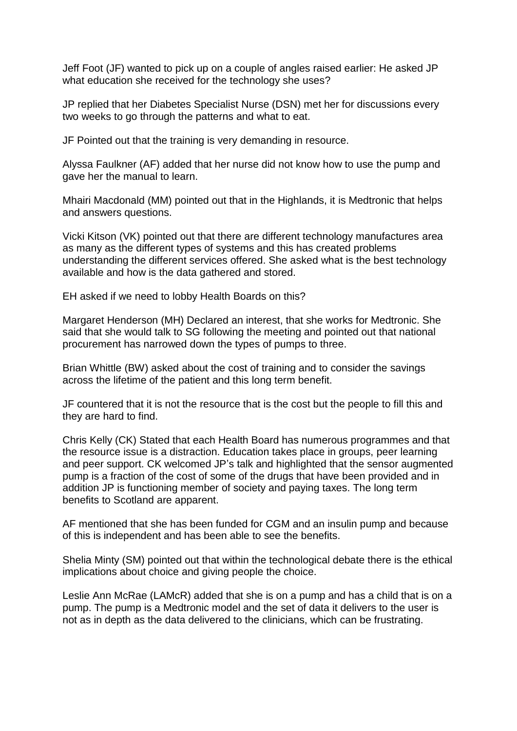Jeff Foot (JF) wanted to pick up on a couple of angles raised earlier: He asked JP what education she received for the technology she uses?

JP replied that her Diabetes Specialist Nurse (DSN) met her for discussions every two weeks to go through the patterns and what to eat.

JF Pointed out that the training is very demanding in resource.

Alyssa Faulkner (AF) added that her nurse did not know how to use the pump and gave her the manual to learn.

Mhairi Macdonald (MM) pointed out that in the Highlands, it is Medtronic that helps and answers questions.

Vicki Kitson (VK) pointed out that there are different technology manufactures area as many as the different types of systems and this has created problems understanding the different services offered. She asked what is the best technology available and how is the data gathered and stored.

EH asked if we need to lobby Health Boards on this?

Margaret Henderson (MH) Declared an interest, that she works for Medtronic. She said that she would talk to SG following the meeting and pointed out that national procurement has narrowed down the types of pumps to three.

Brian Whittle (BW) asked about the cost of training and to consider the savings across the lifetime of the patient and this long term benefit.

JF countered that it is not the resource that is the cost but the people to fill this and they are hard to find.

Chris Kelly (CK) Stated that each Health Board has numerous programmes and that the resource issue is a distraction. Education takes place in groups, peer learning and peer support. CK welcomed JP's talk and highlighted that the sensor augmented pump is a fraction of the cost of some of the drugs that have been provided and in addition JP is functioning member of society and paying taxes. The long term benefits to Scotland are apparent.

AF mentioned that she has been funded for CGM and an insulin pump and because of this is independent and has been able to see the benefits.

Shelia Minty (SM) pointed out that within the technological debate there is the ethical implications about choice and giving people the choice.

Leslie Ann McRae (LAMcR) added that she is on a pump and has a child that is on a pump. The pump is a Medtronic model and the set of data it delivers to the user is not as in depth as the data delivered to the clinicians, which can be frustrating.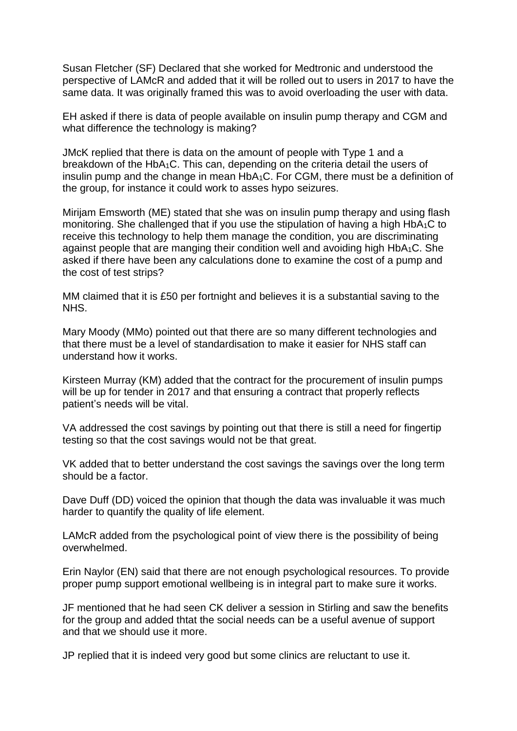Susan Fletcher (SF) Declared that she worked for Medtronic and understood the perspective of LAMcR and added that it will be rolled out to users in 2017 to have the same data. It was originally framed this was to avoid overloading the user with data.

EH asked if there is data of people available on insulin pump therapy and CGM and what difference the technology is making?

JMcK replied that there is data on the amount of people with Type 1 and a breakdown of the HbA1C. This can, depending on the criteria detail the users of insulin pump and the change in mean HbA1C. For CGM, there must be a definition of the group, for instance it could work to asses hypo seizures.

Mirijam Emsworth (ME) stated that she was on insulin pump therapy and using flash monitoring. She challenged that if you use the stipulation of having a high HbA1C to receive this technology to help them manage the condition, you are discriminating against people that are manging their condition well and avoiding high HbA1C. She asked if there have been any calculations done to examine the cost of a pump and the cost of test strips?

MM claimed that it is £50 per fortnight and believes it is a substantial saving to the NHS.

Mary Moody (MMo) pointed out that there are so many different technologies and that there must be a level of standardisation to make it easier for NHS staff can understand how it works.

Kirsteen Murray (KM) added that the contract for the procurement of insulin pumps will be up for tender in 2017 and that ensuring a contract that properly reflects patient's needs will be vital.

VA addressed the cost savings by pointing out that there is still a need for fingertip testing so that the cost savings would not be that great.

VK added that to better understand the cost savings the savings over the long term should be a factor.

Dave Duff (DD) voiced the opinion that though the data was invaluable it was much harder to quantify the quality of life element.

LAMcR added from the psychological point of view there is the possibility of being overwhelmed.

Erin Naylor (EN) said that there are not enough psychological resources. To provide proper pump support emotional wellbeing is in integral part to make sure it works.

JF mentioned that he had seen CK deliver a session in Stirling and saw the benefits for the group and added thtat the social needs can be a useful avenue of support and that we should use it more.

JP replied that it is indeed very good but some clinics are reluctant to use it.